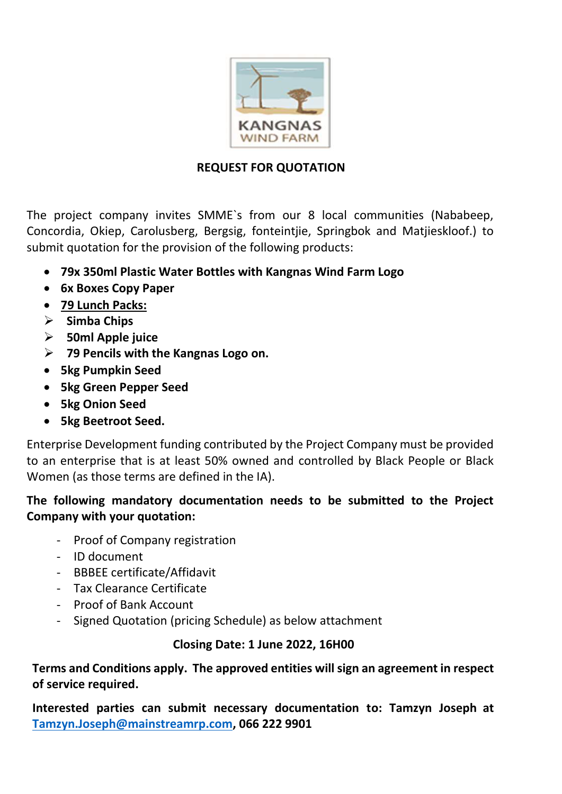

## **REQUEST FOR QUOTATION**

The project company invites SMME`s from our 8 local communities (Nababeep, Concordia, Okiep, Carolusberg, Bergsig, fonteintjie, Springbok and Matjieskloof.) to submit quotation for the provision of the following products:

- **79x 350ml Plastic Water Bottles with Kangnas Wind Farm Logo**
- **6x Boxes Copy Paper**
- **79 Lunch Packs:**
- ➢ **Simba Chips**
- ➢ **50ml Apple juice**
- ➢ **79 Pencils with the Kangnas Logo on.**
- **5kg Pumpkin Seed**
- **5kg Green Pepper Seed**
- **5kg Onion Seed**
- **5kg Beetroot Seed.**

Enterprise Development funding contributed by the Project Company must be provided to an enterprise that is at least 50% owned and controlled by Black People or Black Women (as those terms are defined in the IA).

## **The following mandatory documentation needs to be submitted to the Project Company with your quotation:**

- Proof of Company registration
- ID document
- BBBEE certificate/Affidavit
- Tax Clearance Certificate
- Proof of Bank Account
- Signed Quotation (pricing Schedule) as below attachment

## **Closing Date: 1 June 2022, 16H00**

**Terms and Conditions apply. The approved entities will sign an agreement in respect of service required.**

**Interested parties can submit necessary documentation to: Tamzyn Joseph at [Tamzyn.Joseph@mainstreamrp.com,](mailto:Tamzyn.Joseph@mainstreamrp.com) 066 222 9901**